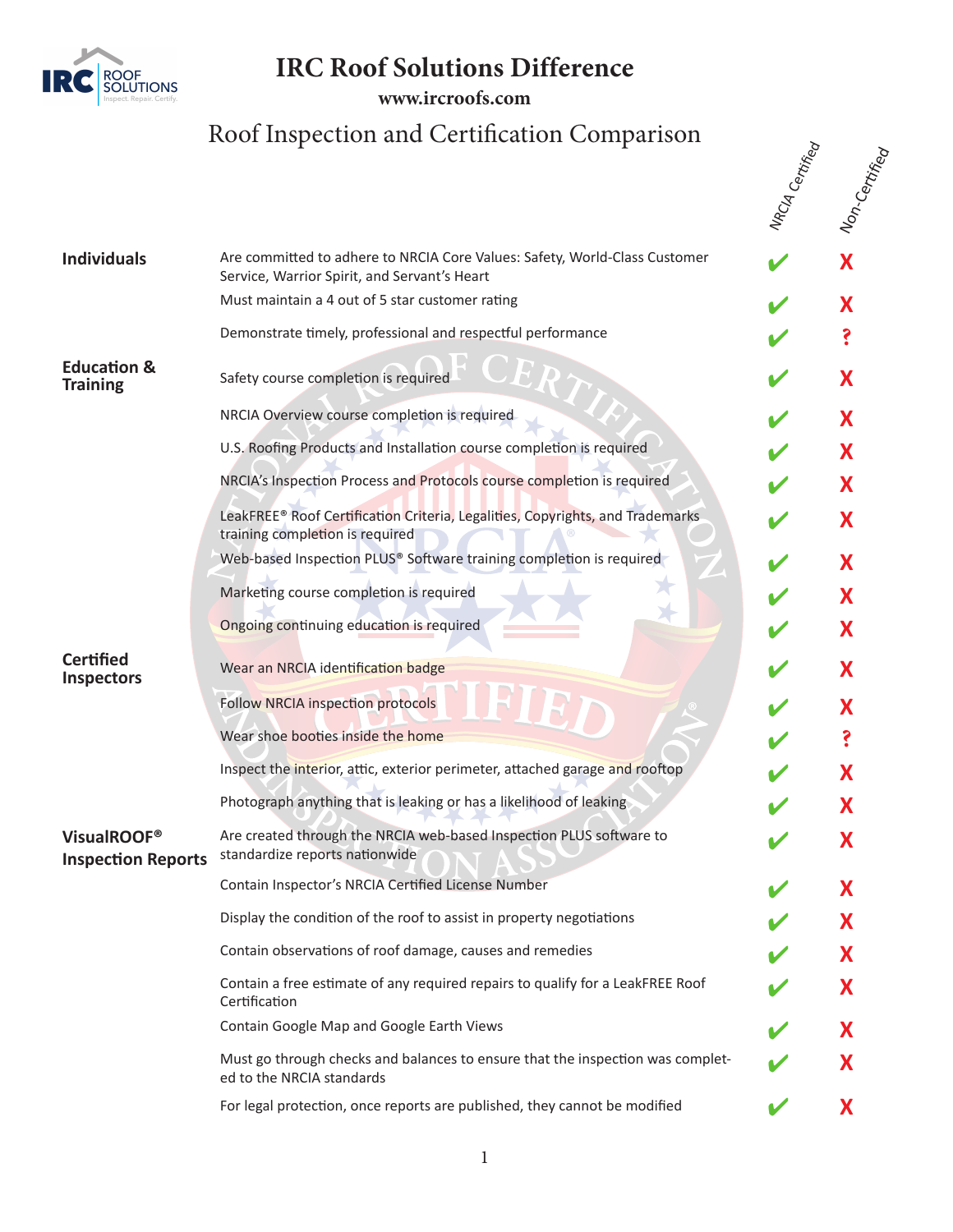

**IRC** 

**www.[ircroofs.com](http://www.ircroofs.com)**

## Roof Inspection and Certification Comparison  $\sum_{\substack{\xi \in \mathcal{E}\\ \xi}}^{\infty}$

|                                                      |                                                                                                                            | NAC <sub>IA Certifica</sub> | Non-Centifier |
|------------------------------------------------------|----------------------------------------------------------------------------------------------------------------------------|-----------------------------|---------------|
| <b>Individuals</b>                                   | Are committed to adhere to NRCIA Core Values: Safety, World-Class Customer<br>Service, Warrior Spirit, and Servant's Heart |                             | Х             |
|                                                      | Must maintain a 4 out of 5 star customer rating                                                                            |                             | Х             |
|                                                      | Demonstrate timely, professional and respectful performance                                                                |                             |               |
| <b>Education &amp;</b><br><b>Training</b>            | Safety course completion is required                                                                                       |                             | Х             |
|                                                      | NRCIA Overview course completion is required                                                                               |                             | X             |
|                                                      | U.S. Roofing Products and Installation course completion is required                                                       |                             | Х             |
|                                                      | NRCIA's Inspection Process and Protocols course completion is required                                                     |                             | X             |
|                                                      | LeakFREE® Roof Certification Criteria, Legalities, Copyrights, and Trademarks<br>training completion is required           |                             | Х             |
|                                                      | Web-based Inspection PLUS® Software training completion is required                                                        |                             | Х             |
|                                                      | Marketing course completion is required                                                                                    |                             | Х             |
|                                                      | Ongoing continuing education is required                                                                                   |                             | X             |
| <b>Certified</b><br><b>Inspectors</b>                | Wear an NRCIA identification badge                                                                                         |                             | Χ             |
|                                                      | <b>Follow NRCIA inspection protocols</b>                                                                                   |                             | Х             |
|                                                      | Wear shoe booties inside the home                                                                                          |                             |               |
|                                                      | Inspect the interior, attic, exterior perimeter, attached garage and rooftop                                               |                             |               |
|                                                      | Photograph anything that is leaking or has a likelihood of leaking                                                         |                             |               |
| VisualROOF <sup>®</sup><br><b>Inspection Reports</b> | Are created through the NRCIA web-based Inspection PLUS software to<br>standardize reports nationwide                      |                             | Λ             |
|                                                      | Contain Inspector's NRCIA Certified License Number                                                                         |                             | X             |
|                                                      | Display the condition of the roof to assist in property negotiations                                                       |                             | X             |
|                                                      | Contain observations of roof damage, causes and remedies                                                                   |                             | X             |
|                                                      | Contain a free estimate of any required repairs to qualify for a LeakFREE Roof<br>Certification                            |                             | X             |
|                                                      | Contain Google Map and Google Earth Views                                                                                  |                             | Х             |
|                                                      | Must go through checks and balances to ensure that the inspection was complet-<br>ed to the NRCIA standards                |                             | X             |
|                                                      | For legal protection, once reports are published, they cannot be modified                                                  |                             | X             |